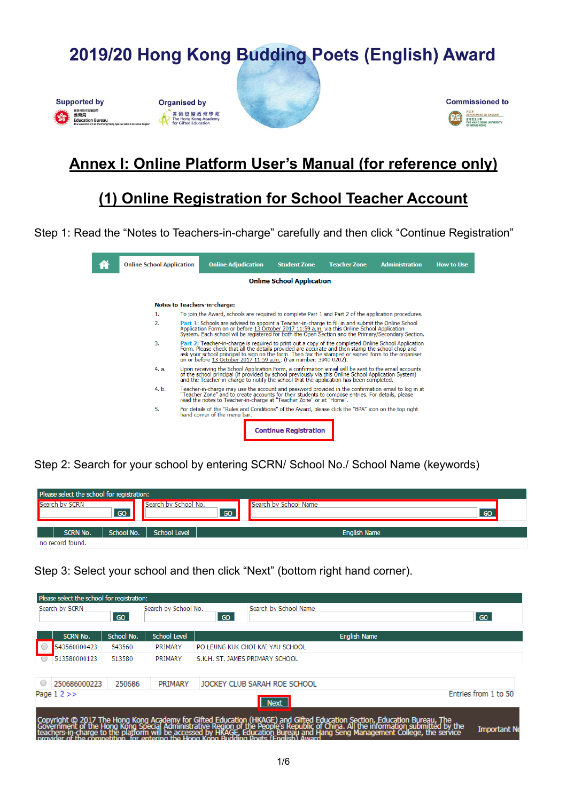

#### **Organised by** 香港資優教育學苑<br>The Hong Kong Academy





### **Annex I: Online Platform User's Manual (for reference only)**

### **(1) Online Registration for School Teacher Account**

Step 1: Read the "Notes to Teachers-in-charge" carefully and then click "Continue Registration"

| <b>Online School Application</b> |  | <b>Online Adjudication</b>                                                                                                                                                                                                                                                                                                                                                         | <b>Student Zone</b>              | <b>Teacher Zone</b> | <b>Administration</b> | <b>How to Use</b> |
|----------------------------------|--|------------------------------------------------------------------------------------------------------------------------------------------------------------------------------------------------------------------------------------------------------------------------------------------------------------------------------------------------------------------------------------|----------------------------------|---------------------|-----------------------|-------------------|
|                                  |  |                                                                                                                                                                                                                                                                                                                                                                                    | <b>Online School Application</b> |                     |                       |                   |
|                                  |  | <b>Notes to Teachers-in-charge:</b>                                                                                                                                                                                                                                                                                                                                                |                                  |                     |                       |                   |
| 1.                               |  | To join the Award, schools are required to complete Part 1 and Part 2 of the application procedures.                                                                                                                                                                                                                                                                               |                                  |                     |                       |                   |
| $\overline{2}$ .                 |  | Part 1: Schools are advised to appoint a Teacher-in-charge to fill in and submit the Online School<br>Application Form on or before 13 October 2017 11:59 a.m. via this Online School Application<br>System. Each school wil be registered for both the Open Section and the Primary/Secondary Section.                                                                            |                                  |                     |                       |                   |
| 3.                               |  | Part 2: Teacher-in-charge is required to print out a copy of the completed Online School Application<br>Form. Please check that all the details provided are accurate and then stamp the school chop and<br>ask your school principal to sign on the form. Then fax the stamped or signed form to the organiser<br>on or before 13 October 2017 11:59 a.m (Fax number: 3940 0202). |                                  |                     |                       |                   |
| 4. a.                            |  | Upon receiving the School Application Form, a confirmation email will be sent to the email accounts<br>of the school principal (if provided by school previously via this Online School Application System)<br>and the Teacher-in-charge to notify the school that the application has been completed.                                                                             |                                  |                     |                       |                   |
| 4. b.                            |  | Teacher-in-charge may use the account and password provided in the confirmation email to log in at<br>"Teacher Zone" and to create accounts for their students to compose entries. For details, please<br>read the notes to Teacher-in-charge at "Teacher Zone" or at "Home".                                                                                                      |                                  |                     |                       |                   |
| 5.                               |  | For details of the "Rules and Conditions" of the Award, please click the "BPA" icon on the top right<br>hand corner of the menu bar.                                                                                                                                                                                                                                               |                                  |                     |                       |                   |
|                                  |  |                                                                                                                                                                                                                                                                                                                                                                                    | <b>Continue Registration</b>     |                     |                       |                   |

Step 2: Search for your school by entering SCRN/ School No./ School Name (keywords)

| Please select the school for registration: |            |                      |    |                       |    |  |  |  |
|--------------------------------------------|------------|----------------------|----|-----------------------|----|--|--|--|
| Search by SCRN                             | GO         | Search by School No. | GO | Search by School Name | GO |  |  |  |
| <b>SCRN No.</b>                            | School No. | <b>School Level</b>  |    | <b>English Name</b>   |    |  |  |  |
| no record found.                           |            |                      |    |                       |    |  |  |  |

Step 3: Select your school and then click "Next" (bottom right hand corner).

|                                                      | Search by SCRN  | GO         | Search by School No. | GO | Search by School Name            |                                                                                                                                                                                                                                   | GO                  |
|------------------------------------------------------|-----------------|------------|----------------------|----|----------------------------------|-----------------------------------------------------------------------------------------------------------------------------------------------------------------------------------------------------------------------------------|---------------------|
|                                                      | <b>SCRN No.</b> | School No. | <b>School Level</b>  |    |                                  | <b>English Name</b>                                                                                                                                                                                                               |                     |
|                                                      | 543560000423    | 543560     | PRIMARY              |    | PO LEUNG KUK CHOI KAI YAU SCHOOL |                                                                                                                                                                                                                                   |                     |
|                                                      | 513580000123    | 513580     | PRIMARY              |    | S.K.H. ST. JAMES PRIMARY SCHOOL  |                                                                                                                                                                                                                                   |                     |
| $\bigcirc$                                           | 250686000223    | 250686     | PRIMARY              |    | JOCKEY CLUB SARAH ROE SCHOOL     |                                                                                                                                                                                                                                   |                     |
| Entries from 1 to 50<br>Page $12 \gg$<br><b>Next</b> |                 |            |                      |    |                                  |                                                                                                                                                                                                                                   |                     |
|                                                      |                 |            |                      |    |                                  | Copyright © 2017 The Hong Kong Academy for Gifted Education (HKAGE) and Gifted Education Section, Education Bureau, The<br>Government of the Hong Kong Special Administrative Region of the People's Republic of China. All the i | <b>Important No</b> |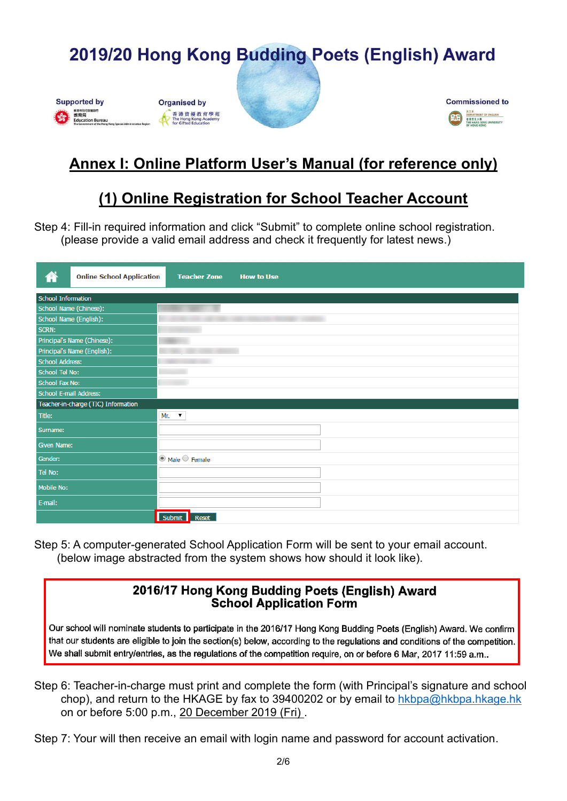

#### **Organised by** 香港資優教育學苑<br>The Hong Kong Academy





# **Annex I: Online Platform User's Manual (for reference only)**

## **(1) Online Registration for School Teacher Account**

Step 4: Fill-in required information and click "Submit" to complete online school registration. (please provide a valid email address and check it frequently for latest news.)

| ⋒                         | <b>Online School Application</b>    | <b>Teacher Zone</b>         | <b>How to Use</b> |
|---------------------------|-------------------------------------|-----------------------------|-------------------|
| <b>School Information</b> |                                     |                             |                   |
| School Name (Chinese):    |                                     |                             |                   |
| School Name (English):    |                                     |                             |                   |
| <b>SCRN:</b>              |                                     |                             |                   |
|                           | Principal's Name (Chinese):         |                             |                   |
|                           | Principal's Name (English):         |                             |                   |
| <b>School Address:</b>    |                                     |                             |                   |
| School Tel No:            |                                     |                             |                   |
| <b>School Fax No:</b>     |                                     |                             |                   |
| School E-mail Address:    |                                     |                             |                   |
|                           | Teacher-in-charge (TIC) Information |                             |                   |
| Title:                    |                                     | Mr.<br>$\pmb{\mathrm{v}}$   |                   |
| Surname:                  |                                     |                             |                   |
| Given Name:               |                                     |                             |                   |
| Gender:                   |                                     | $\odot$ Male $\odot$ Female |                   |
| Tel No:                   |                                     |                             |                   |
| Mobile No:                |                                     |                             |                   |
| E-mail:                   |                                     |                             |                   |
|                           |                                     | Submit Reset                |                   |

Step 5: A computer-generated School Application Form will be sent to your email account. (below image abstracted from the system shows how should it look like).

#### 2016/17 Hong Kong Budding Poets (English) Award **School Application Form**

Our school will nominate students to participate in the 2016/17 Hong Kong Budding Poets (English) Award. We confirm that our students are eligible to join the section(s) below, according to the regulations and conditions of the competition. We shall submit entry/entries, as the regulations of the competition require, on or before 6 Mar, 2017 11:59 a.m..

- Step 6: Teacher-in-charge must print and complete the form (with Principal's signature and school chop), and return to the HKAGE by fax to 39400202 or by email to [hkbpa@hkbpa.hkage.hk](mailto:hkbpa@hkbpa.hkage.hk) on or before 5:00 p.m., 20 December 2019 (Fri) .
- Step 7: Your will then receive an email with login name and password for account activation.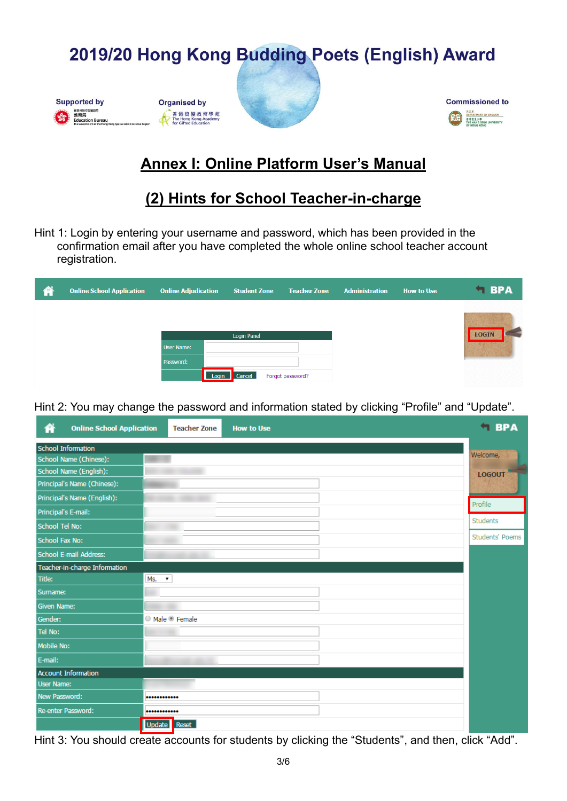







## **Annex I: Online Platform User's Manual**

### **(2) Hints for School Teacher-in-charge**

Hint 1: Login by entering your username and password, which has been provided in the confirmation email after you have completed the whole online school teacher account registration.

| 俗 | <b>Online School Application</b> | <b>Online Adjudication</b> | <b>Student Zone</b> | <b>Teacher Zone</b> | <b>Administration</b> | <b>How to Use</b> | <b>SPA</b>   |
|---|----------------------------------|----------------------------|---------------------|---------------------|-----------------------|-------------------|--------------|
|   |                                  |                            |                     |                     |                       |                   |              |
|   |                                  |                            | <b>Login Panel</b>  |                     |                       |                   | <b>LOGIN</b> |
|   |                                  | User Name:                 |                     |                     |                       |                   |              |
|   |                                  | Password:                  |                     |                     |                       |                   |              |
|   |                                  | Login                      | Cancel              | Forgot password?    |                       |                   |              |

Hint 2: You may change the password and information stated by clicking "Profile" and "Update".

| 倄                     | <b>Online School Application</b> | <b>Teacher Zone</b>        | <b>How to Use</b> | <b>SPA</b>             |
|-----------------------|----------------------------------|----------------------------|-------------------|------------------------|
|                       | <b>School Information</b>        |                            |                   |                        |
|                       | School Name (Chinese):           |                            |                   | Welcome,               |
|                       | School Name (English):           |                            |                   | <b>LOGOUT</b>          |
|                       | Principal's Name (Chinese):      |                            |                   |                        |
|                       | Principal's Name (English):      |                            |                   | Profile                |
|                       | Principal's E-mail:              |                            |                   |                        |
| <b>School Tel No:</b> |                                  |                            |                   | Students               |
| <b>School Fax No:</b> |                                  |                            |                   | <b>Students' Poems</b> |
|                       | <b>School E-mail Address:</b>    |                            |                   |                        |
|                       | Teacher-in-charge Information    |                            |                   |                        |
| Title:                |                                  | $MS.$ $\blacktriangledown$ |                   |                        |
| Sumame:               |                                  |                            |                   |                        |
| <b>Given Name:</b>    |                                  |                            |                   |                        |
| Gender:               |                                  | © Male © Female            |                   |                        |
| Tel No:               |                                  |                            |                   |                        |
| Mobile No:            |                                  |                            |                   |                        |
| E-mail:               |                                  |                            |                   |                        |
|                       | <b>Account Information</b>       |                            |                   |                        |
| <b>User Name:</b>     |                                  |                            |                   |                        |
| New Password:         |                                  |                            |                   |                        |
|                       | Re-enter Password:               |                            |                   |                        |
|                       |                                  | Update Reset               |                   |                        |

Hint 3: You should create accounts for students by clicking the "Students", and then, click "Add".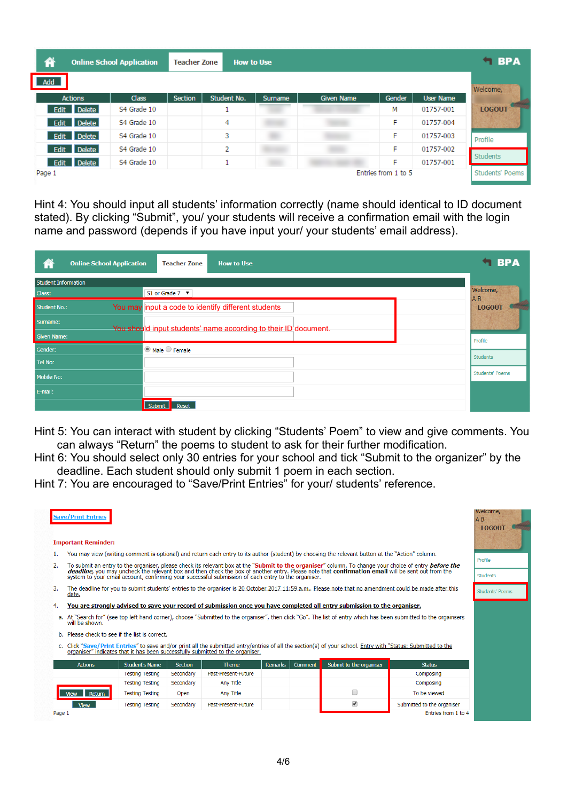| @              | <b>Online School Application</b> | <b>Teacher Zone</b> | <b>How to Use</b> |         |                   |                     |           | $\blacksquare$ BPA |
|----------------|----------------------------------|---------------------|-------------------|---------|-------------------|---------------------|-----------|--------------------|
| Add            |                                  |                     |                   |         |                   |                     |           | Welcome,           |
| <b>Actions</b> | <b>Class</b>                     | Section             | Student No.       | Surname | <b>Given Name</b> | Gender              | User Name |                    |
| Edit Delete    | S4 Grade 10                      |                     |                   |         |                   | м                   | 01757-001 | <b>LOGOUT</b>      |
| Edit Delete    | S4 Grade 10                      |                     | 4                 |         |                   | F                   | 01757-004 |                    |
| Edit Delete    | S4 Grade 10                      |                     | 3                 |         |                   | F                   | 01757-003 | Profile            |
| Edit Delete    | S4 Grade 10                      |                     | 2                 |         |                   | F                   | 01757-002 |                    |
| Edit Delete    | S4 Grade 10                      |                     | ٠                 |         |                   | F                   | 01757-001 | Students           |
| Page 1         |                                  |                     |                   |         |                   | Entries from 1 to 5 |           | Students' Poems    |

Hint 4: You should input all students' information correctly (name should identical to ID document stated). By clicking "Submit", you/ your students will receive a confirmation email with the login name and password (depends if you have input your/ your students' email address).

| 俗<br><b>Online School Application</b> | <b>Teacher Zone</b><br><b>How to Use</b>                        | $\blacksquare$ BPA     |
|---------------------------------------|-----------------------------------------------------------------|------------------------|
| <b>Student Information</b>            |                                                                 | Welcome,               |
| Class:                                | S1 or Grade $7 \times$                                          | AB                     |
| <b>Student No.:</b>                   | You may input a code to identify different students             | <b>LOGOUT</b>          |
| Surname:                              | You should input students' name according to their ID document. |                        |
| <b>Given Name:</b>                    |                                                                 | Profile                |
| Gender:                               | $\bullet$ Male $\circ$ Female                                   | <b>Students</b>        |
| Tel No:                               |                                                                 |                        |
| <b>Mobile No:</b>                     |                                                                 | <b>Students' Poems</b> |
| E-mail:                               |                                                                 |                        |
|                                       | Submit<br><b>Reset</b>                                          |                        |

Hint 5: You can interact with student by clicking "Students' Poem" to view and give comments. You can always "Return" the poems to student to ask for their further modification.

Hint 6: You should select only 30 entries for your school and tick "Submit to the organizer" by the deadline. Each student should only submit 1 poem in each section.

Hint 7: You are encouraged to "Save/Print Entries" for your/ students' reference.

|        | <b>Save/Print Entries</b><br><b>Important Reminder:</b>                                                                                                                             |                                                                                                                                                                          |           |                     |         |         |                                                                                                                                                                                                                               |                                                                                                                                                                                                                                   | welcome,<br>$A$ $B$<br><b>LOGOUT</b> |
|--------|-------------------------------------------------------------------------------------------------------------------------------------------------------------------------------------|--------------------------------------------------------------------------------------------------------------------------------------------------------------------------|-----------|---------------------|---------|---------|-------------------------------------------------------------------------------------------------------------------------------------------------------------------------------------------------------------------------------|-----------------------------------------------------------------------------------------------------------------------------------------------------------------------------------------------------------------------------------|--------------------------------------|
| 1.     | You may view (writing comment is optional) and return each entry to its author (student) by choosing the relevant button at the "Action" column.                                    |                                                                                                                                                                          |           |                     |         |         |                                                                                                                                                                                                                               |                                                                                                                                                                                                                                   |                                      |
| 2.     |                                                                                                                                                                                     |                                                                                                                                                                          |           |                     |         |         |                                                                                                                                                                                                                               |                                                                                                                                                                                                                                   | Profile                              |
|        |                                                                                                                                                                                     |                                                                                                                                                                          |           |                     |         |         |                                                                                                                                                                                                                               | To submit an entry to the organiser, please check its relevant box at the "Submit to the organiser" column. To change your choice of entry before the<br>deadline, you may uncheck the relevant box and then check the box of ano | <b>Students</b>                      |
| 3.     | date.                                                                                                                                                                               | The deadline for you to submit students' entries to the organiser is 20 October 2017 11:59 a.m Please note that no amendment could be made after this<br>Students' Poems |           |                     |         |         |                                                                                                                                                                                                                               |                                                                                                                                                                                                                                   |                                      |
| 4.     |                                                                                                                                                                                     |                                                                                                                                                                          |           |                     |         |         | You are strongly advised to save your record of submission once you have completed all entry submission to the organiser.                                                                                                     |                                                                                                                                                                                                                                   |                                      |
|        | a. At "Search for" (see top left hand corner), choose "Submitted to the organiser", then click "Go". The list of entry which has been submitted to the orgainsers<br>will be shown. |                                                                                                                                                                          |           |                     |         |         |                                                                                                                                                                                                                               |                                                                                                                                                                                                                                   |                                      |
|        |                                                                                                                                                                                     | b. Please check to see if the list is correct.                                                                                                                           |           |                     |         |         |                                                                                                                                                                                                                               |                                                                                                                                                                                                                                   |                                      |
|        |                                                                                                                                                                                     |                                                                                                                                                                          |           |                     |         |         | c. Click "Save/Print Entries" to save and/or print all the submitted entry/entries of all the section(s) of your school. Entry with "Status: Submitted to the organiser" indicates that it has been successfully submitted to |                                                                                                                                                                                                                                   |                                      |
|        | <b>Actions</b>                                                                                                                                                                      | <b>Student's Name</b>                                                                                                                                                    | Section   | <b>Theme</b>        | Remarks | Comment | Submit to the organiser                                                                                                                                                                                                       | <b>Status</b>                                                                                                                                                                                                                     |                                      |
|        |                                                                                                                                                                                     | <b>Testing Testing</b>                                                                                                                                                   | Secondary | Past-Present-Future |         |         |                                                                                                                                                                                                                               | Composing                                                                                                                                                                                                                         |                                      |
|        |                                                                                                                                                                                     | <b>Testing Testing</b>                                                                                                                                                   | Secondary | <b>Any Title</b>    |         |         |                                                                                                                                                                                                                               | Composing                                                                                                                                                                                                                         |                                      |
|        | Return                                                                                                                                                                              | <b>Testing Testing</b>                                                                                                                                                   | Open      | Any Title           |         |         | ∩                                                                                                                                                                                                                             | To be viewed                                                                                                                                                                                                                      |                                      |
|        | View                                                                                                                                                                                | <b>Testing Testing</b>                                                                                                                                                   | Secondary | Past-Present-Future |         |         | $\blacktriangledown$                                                                                                                                                                                                          | Submitted to the organiser                                                                                                                                                                                                        |                                      |
| Page 1 |                                                                                                                                                                                     |                                                                                                                                                                          |           |                     |         |         |                                                                                                                                                                                                                               | Entries from 1 to 4                                                                                                                                                                                                               |                                      |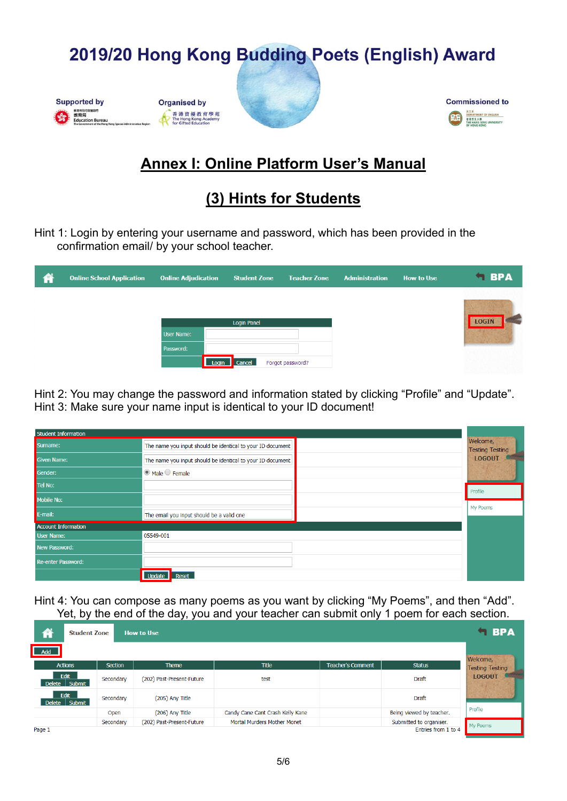









## **Annex I: Online Platform User's Manual**

## **(3) Hints for Students**

Hint 1: Login by entering your username and password, which has been provided in the confirmation email/ by your school teacher.

| 俗 | <b>Online School Application</b> | <b>Online Adjudication</b>     | <b>Student Zone</b> | <b>Teacher Zone</b> | <b>Administration</b> | <b>How to Use</b> | <b>SPA</b>   |
|---|----------------------------------|--------------------------------|---------------------|---------------------|-----------------------|-------------------|--------------|
|   |                                  |                                |                     |                     |                       |                   |              |
|   |                                  |                                | <b>Login Panel</b>  |                     |                       |                   | <b>LOGIN</b> |
|   |                                  | <b>User Name:</b><br>Password: |                     |                     |                       |                   |              |
|   |                                  |                                | Login Cancel        | Forgot password?    |                       |                   |              |

Hint 2: You may change the password and information stated by clicking "Profile" and "Update". Hint 3: Make sure your name input is identical to your ID document!

| <b>Student Information</b> |                                                            |  |                                    |  |  |  |  |  |
|----------------------------|------------------------------------------------------------|--|------------------------------------|--|--|--|--|--|
| Surname:                   | The name you input should be identical to your ID document |  | Welcome,<br><b>Testing Testing</b> |  |  |  |  |  |
| <b>Given Name:</b>         | The name you input should be identical to your ID document |  | <b>LOGOUT</b>                      |  |  |  |  |  |
| Gender:                    | $\odot$ Male $\odot$ Female                                |  |                                    |  |  |  |  |  |
| Tel No:                    |                                                            |  | Profile                            |  |  |  |  |  |
| Mobile No:                 |                                                            |  | My Poems                           |  |  |  |  |  |
| E-mail:                    | The email you input should be a valid one                  |  |                                    |  |  |  |  |  |
| <b>Account Information</b> |                                                            |  |                                    |  |  |  |  |  |
| <b>User Name:</b>          | 05549-001                                                  |  |                                    |  |  |  |  |  |
| New Password:              |                                                            |  |                                    |  |  |  |  |  |
| Re-enter Password:         |                                                            |  |                                    |  |  |  |  |  |
|                            | Update<br>Reset                                            |  |                                    |  |  |  |  |  |

Hint 4: You can compose as many poems as you want by clicking "My Poems", and then "Add". Yet, by the end of the day, you and your teacher can submit only 1 poem for each section.

| 俗                     | <b>Student Zone</b><br><b>How to Use</b> |           |                           |                                  |                          |                          |                        |  |  |
|-----------------------|------------------------------------------|-----------|---------------------------|----------------------------------|--------------------------|--------------------------|------------------------|--|--|
| <b>Add</b>            |                                          |           |                           |                                  |                          |                          | Welcome,               |  |  |
| <b>Actions</b>        |                                          | Section   | Theme                     | <b>Title</b>                     | <b>Teacher's Comment</b> | <b>Status</b>            | <b>Testing Testing</b> |  |  |
| Delete Submit         | Edit                                     | Secondary | (202) Past-Present-Future | test                             |                          | <b>Draft</b>             | <b>LOGOUT</b>          |  |  |
| Edit<br>Delete Submit |                                          | Secondary | (205) Any Title           |                                  |                          | <b>Draft</b>             |                        |  |  |
|                       |                                          | Open      | (206) Any Title           | Candy Cane Cant Crash Kelly Kane |                          | Being viewed by teacher. | Profile                |  |  |
|                       |                                          | Secondary | (202) Past-Present-Future | Mortal Murders Mother Monet      |                          | Submitted to organiser.  | My Poems               |  |  |
| Page 1                |                                          |           |                           |                                  |                          | Entries from 1 to 4      |                        |  |  |